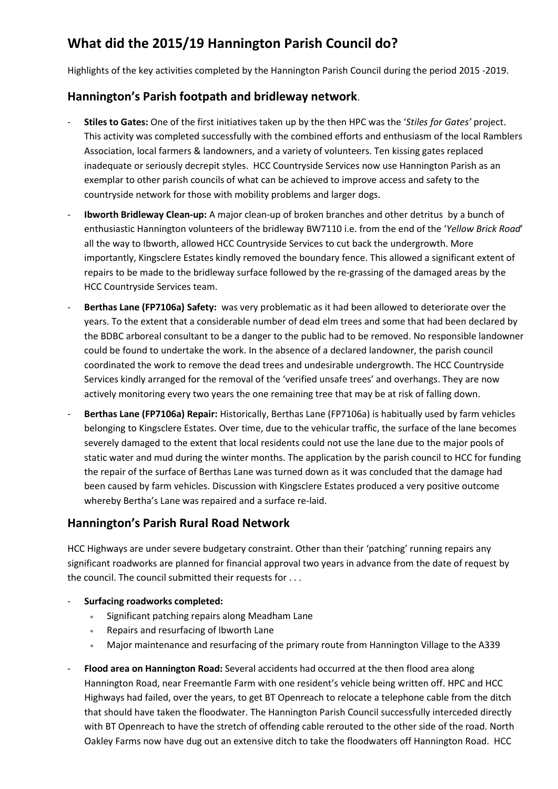# **What did the 2015/19 Hannington Parish Council do?**

Highlights of the key activities completed by the Hannington Parish Council during the period 2015 -2019.

### **Hannington's Parish footpath and bridleway network**.

- **Stiles to Gates:** One of the first initiatives taken up by the then HPC was the '*Stiles for Gates'* project. This activity was completed successfully with the combined efforts and enthusiasm of the local Ramblers Association, local farmers & landowners, and a variety of volunteers. Ten kissing gates replaced inadequate or seriously decrepit styles. HCC Countryside Services now use Hannington Parish as an exemplar to other parish councils of what can be achieved to improve access and safety to the countryside network for those with mobility problems and larger dogs.
- **Ibworth Bridleway Clean-up:** A major clean-up of broken branches and other detritus by a bunch of enthusiastic Hannington volunteers of the bridleway BW7110 i.e. from the end of the '*Yellow Brick Road*' all the way to Ibworth, allowed HCC Countryside Services to cut back the undergrowth. More importantly, Kingsclere Estates kindly removed the boundary fence. This allowed a significant extent of repairs to be made to the bridleway surface followed by the re-grassing of the damaged areas by the HCC Countryside Services team.
- **Berthas Lane (FP7106a) Safety:** was very problematic as it had been allowed to deteriorate over the years. To the extent that a considerable number of dead elm trees and some that had been declared by the BDBC arboreal consultant to be a danger to the public had to be removed. No responsible landowner could be found to undertake the work. In the absence of a declared landowner, the parish council coordinated the work to remove the dead trees and undesirable undergrowth. The HCC Countryside Services kindly arranged for the removal of the 'verified unsafe trees' and overhangs. They are now actively monitoring every two years the one remaining tree that may be at risk of falling down.
- **Berthas Lane (FP7106a) Repair:** Historically, Berthas Lane (FP7106a) is habitually used by farm vehicles belonging to Kingsclere Estates. Over time, due to the vehicular traffic, the surface of the lane becomes severely damaged to the extent that local residents could not use the lane due to the major pools of static water and mud during the winter months. The application by the parish council to HCC for funding the repair of the surface of Berthas Lane was turned down as it was concluded that the damage had been caused by farm vehicles. Discussion with Kingsclere Estates produced a very positive outcome whereby Bertha's Lane was repaired and a surface re-laid.

### **Hannington's Parish Rural Road Network**

HCC Highways are under severe budgetary constraint. Other than their 'patching' running repairs any significant roadworks are planned for financial approval two years in advance from the date of request by the council. The council submitted their requests for . . .

- **Surfacing roadworks completed:**
	- Significant patching repairs along Meadham Lane
	- Repairs and resurfacing of Ibworth Lane
	- Major maintenance and resurfacing of the primary route from Hannington Village to the A339
- **Flood area on Hannington Road:** Several accidents had occurred at the then flood area along Hannington Road, near Freemantle Farm with one resident's vehicle being written off. HPC and HCC Highways had failed, over the years, to get BT Openreach to relocate a telephone cable from the ditch that should have taken the floodwater. The Hannington Parish Council successfully interceded directly with BT Openreach to have the stretch of offending cable rerouted to the other side of the road. North Oakley Farms now have dug out an extensive ditch to take the floodwaters off Hannington Road. HCC